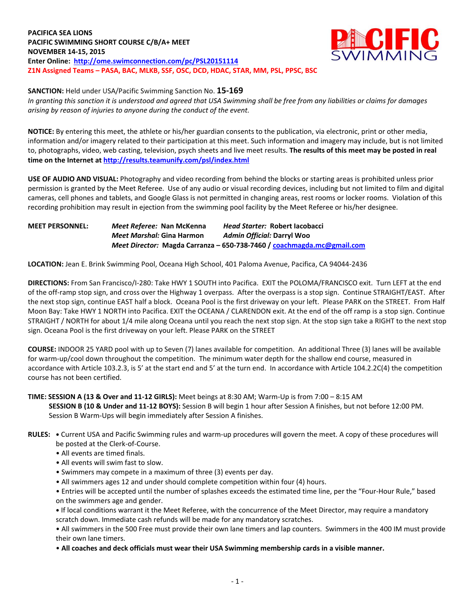**PACIFICA SEA LIONS PACIFIC SWIMMING SHORT COURSE C/B/A+ MEET NOVEMBER 14-15, 2015 Enter Online: <http://ome.swimconnection.com/pc/PSL20151114> Z1N Assigned Teams – PASA, BAC, MLKB, SSF, OSC, DCD, HDAC, STAR, MM, PSL, PPSC, BSC**



**SANCTION:** Held under USA/Pacific Swimming Sanction No. **15-169**

*In granting this sanction it is understood and agreed that USA Swimming shall be free from any liabilities or claims for damages arising by reason of injuries to anyone during the conduct of the event.*

**NOTICE:** By entering this meet, the athlete or his/her guardian consents to the publication, via electronic, print or other media, information and/or imagery related to their participation at this meet. Such information and imagery may include, but is not limited to, photographs, video, web casting, television, psych sheets and live meet results. **The results of this meet may be posted in real time on the Internet a[t http://results.teamunify.com/psl/index.html](http://results.teamunify.com/psl/index.html)**

**USE OF AUDIO AND VISUAL:** Photography and video recording from behind the blocks or starting areas is prohibited unless prior permission is granted by the Meet Referee. Use of any audio or visual recording devices, including but not limited to film and digital cameras, cell phones and tablets, and Google Glass is not permitted in changing areas, rest rooms or locker rooms. Violation of this recording prohibition may result in ejection from the swimming pool facility by the Meet Referee or his/her designee.

**MEET PERSONNEL:** *Meet Referee:* **Nan McKenna** *Head Starter:* **Robert Iacobacci** *Meet Marshal:* **Gina Harmon** *Admin Official:* **Darryl Woo** *Meet Director:* **Magda Carranza – 650-738-7460 / [coachmagda.mc@gmail.com](mailto:coachmagda.mc@gmail.com)**

**LOCATION:** Jean E. Brink Swimming Pool, Oceana High School, 401 Paloma Avenue, Pacifica, CA 94044-2436

**DIRECTIONS:** From San Francisco/I-280: Take HWY 1 SOUTH into Pacifica. EXIT the POLOMA/FRANCISCO exit. Turn LEFT at the end of the off-ramp stop sign, and cross over the Highway 1 overpass. After the overpass is a stop sign. Continue STRAIGHT/EAST. After the next stop sign, continue EAST half a block. Oceana Pool is the first driveway on your left. Please PARK on the STREET. From Half Moon Bay: Take HWY 1 NORTH into Pacifica. EXIT the OCEANA / CLARENDON exit. At the end of the off ramp is a stop sign. Continue STRAIGHT / NORTH for about 1/4 mile along Oceana until you reach the next stop sign. At the stop sign take a RIGHT to the next stop sign. Oceana Pool is the first driveway on your left. Please PARK on the STREET

**COURSE:** INDOOR 25 YARD pool with up to Seven (7) lanes available for competition. An additional Three (3) lanes will be available for warm-up/cool down throughout the competition. The minimum water depth for the shallow end course, measured in accordance with Article 103.2.3, is 5' at the start end and 5' at the turn end. In accordance with Article 104.2.2C(4) the competition course has not been certified.

## **TIME: SESSION A (13 & Over and 11-12 GIRLS):** Meet beings at 8:30 AM; Warm-Up is from 7:00 – 8:15 AM

**SESSION B (10 & Under and 11-12 BOYS):** Session B will begin 1 hour after Session A finishes, but not before 12:00 PM. Session B Warm-Ups will begin immediately after Session A finishes.

- **RULES: •** Current USA and Pacific Swimming rules and warm-up procedures will govern the meet. A copy of these procedures will be posted at the Clerk-of-Course.
	- All events are timed finals.
	- All events will swim fast to slow.
	- Swimmers may compete in a maximum of three (3) events per day.
	- All swimmers ages 12 and under should complete competition within four (4) hours.
	- Entries will be accepted until the number of splashes exceeds the estimated time line, per the "Four-Hour Rule," based on the swimmers age and gender.

**•** If local conditions warrant it the Meet Referee, with the concurrence of the Meet Director, may require a mandatory scratch down. Immediate cash refunds will be made for any mandatory scratches.

• All swimmers in the 500 Free must provide their own lane timers and lap counters. Swimmers in the 400 IM must provide their own lane timers.

• **All coaches and deck officials must wear their USA Swimming membership cards in a visible manner.**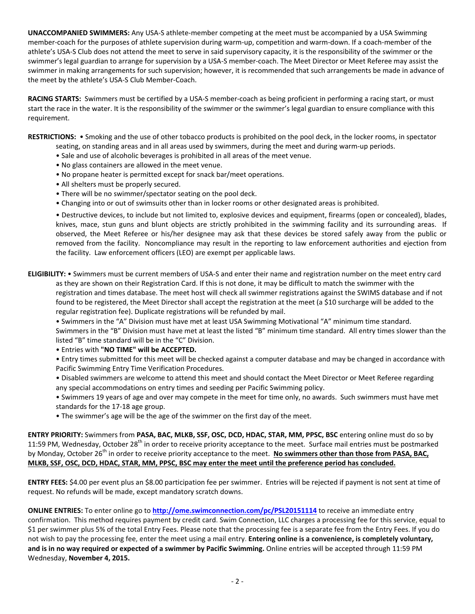**UNACCOMPANIED SWIMMERS:** Any USA-S athlete-member competing at the meet must be accompanied by a USA Swimming member-coach for the purposes of athlete supervision during warm-up, competition and warm-down. If a coach-member of the athlete's USA-S Club does not attend the meet to serve in said supervisory capacity, it is the responsibility of the swimmer or the swimmer's legal guardian to arrange for supervision by a USA-S member-coach. The Meet Director or Meet Referee may assist the swimmer in making arrangements for such supervision; however, it is recommended that such arrangements be made in advance of the meet by the athlete's USA-S Club Member-Coach.

**RACING STARTS:** Swimmers must be certified by a USA-S member-coach as being proficient in performing a racing start, or must start the race in the water. It is the responsibility of the swimmer or the swimmer's legal guardian to ensure compliance with this requirement.

**RESTRICTIONS:** • Smoking and the use of other tobacco products is prohibited on the pool deck, in the locker rooms, in spectator seating, on standing areas and in all areas used by swimmers, during the meet and during warm-up periods.

- Sale and use of alcoholic beverages is prohibited in all areas of the meet venue.
- No glass containers are allowed in the meet venue.
- No propane heater is permitted except for snack bar/meet operations.
- All shelters must be properly secured.
- There will be no swimmer/spectator seating on the pool deck.
- Changing into or out of swimsuits other than in locker rooms or other designated areas is prohibited.

• Destructive devices, to include but not limited to, explosive devices and equipment, firearms (open or concealed), blades, knives, mace, stun guns and blunt objects are strictly prohibited in the swimming facility and its surrounding areas. If observed, the Meet Referee or his/her designee may ask that these devices be stored safely away from the public or removed from the facility. Noncompliance may result in the reporting to law enforcement authorities and ejection from the facility. Law enforcement officers (LEO) are exempt per applicable laws.

**ELIGIBILITY:** • Swimmers must be current members of USA-S and enter their name and registration number on the meet entry card as they are shown on their Registration Card. If this is not done, it may be difficult to match the swimmer with the registration and times database. The meet host will check all swimmer registrations against the SWIMS database and if not found to be registered, the Meet Director shall accept the registration at the meet (a \$10 surcharge will be added to the regular registration fee). Duplicate registrations will be refunded by mail.

• Swimmers in the "A" Division must have met at least USA Swimming Motivational "A" minimum time standard.

Swimmers in the "B" Division must have met at least the listed "B" minimum time standard. All entry times slower than the listed "B" time standard will be in the "C" Division.

• Entries with **"NO TIME" will be ACCEPTED.**

• Entry times submitted for this meet will be checked against a computer database and may be changed in accordance with Pacific Swimming Entry Time Verification Procedures.

• Disabled swimmers are welcome to attend this meet and should contact the Meet Director or Meet Referee regarding any special accommodations on entry times and seeding per Pacific Swimming policy.

• Swimmers 19 years of age and over may compete in the meet for time only, no awards. Such swimmers must have met standards for the 17-18 age group.

• The swimmer's age will be the age of the swimmer on the first day of the meet.

**ENTRY PRIORITY:** Swimmers from **PASA, BAC, MLKB, SSF, OSC, DCD, HDAC, STAR, MM, PPSC, BSC** entering online must do so by 11:59 PM, Wednesday, October 28<sup>th</sup> in order to receive priority acceptance to the meet. Surface mail entries must be postmarked by Monday, October 26<sup>th</sup> in order to receive priority acceptance to the meet. **No swimmers other than those from PASA, BAC, MLKB, SSF, OSC, DCD, HDAC, STAR, MM, PPSC, BSC may enter the meet until the preference period has concluded.**

**ENTRY FEES:** \$4.00 per event plus an \$8.00 participation fee per swimmer. Entries will be rejected if payment is not sent at time of request. No refunds will be made, except mandatory scratch downs.

**ONLINE ENTRIES:** To enter online go to **<http://ome.swimconnection.com/pc/PSL20151114>** to receive an immediate entry confirmation. This method requires payment by credit card. Swim Connection, LLC charges a processing fee for this service, equal to \$1 per swimmer plus 5% of the total Entry Fees. Please note that the processing fee is a separate fee from the Entry Fees. If you do not wish to pay the processing fee, enter the meet using a mail entry. **Entering online is a convenience, is completely voluntary, and is in no way required or expected of a swimmer by Pacific Swimming.** Online entries will be accepted through 11:59 PM Wednesday, **November 4, 2015.**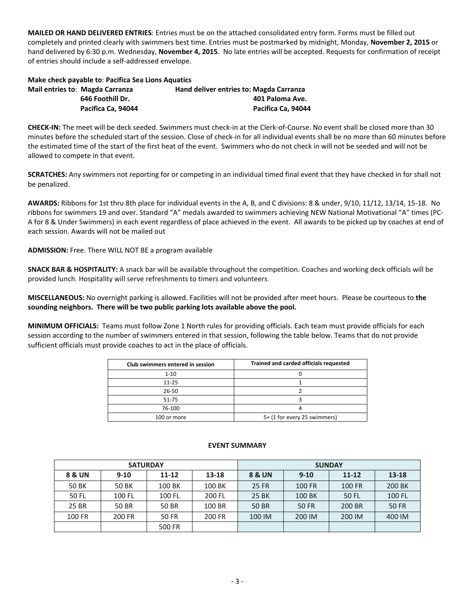**MAILED OR HAND DELIVERED ENTRIES**: Entries must be on the attached consolidated entry form. Forms must be filled out completely and printed clearly with swimmers best time. Entries must be postmarked by midnight, Monday, **November 2, 2015** or hand delivered by 6:30 p.m. Wednesday, **November 4, 2015**. No late entries will be accepted. Requests for confirmation of receipt of entries should include a self-addressed envelope.

| Make check payable to: Pacifica Sea Lions Aguatics |                                 |                                         |  |  |  |  |  |  |
|----------------------------------------------------|---------------------------------|-----------------------------------------|--|--|--|--|--|--|
|                                                    | Mail entries to: Magda Carranza | Hand deliver entries to: Magda Carranza |  |  |  |  |  |  |
|                                                    | 646 Foothill Dr.                | 401 Paloma Ave.                         |  |  |  |  |  |  |
|                                                    | Pacifica Ca. 94044              | Pacifica Ca. 94044                      |  |  |  |  |  |  |

**CHECK-IN:** The meet will be deck seeded. Swimmers must check-in at the Clerk-of-Course. No event shall be closed more than 30 minutes before the scheduled start of the session. Close of check-in for all individual events shall be no more than 60 minutes before the estimated time of the start of the first heat of the event. Swimmers who do not check in will not be seeded and will not be allowed to compete in that event.

**SCRATCHES:** Any swimmers not reporting for or competing in an individual timed final event that they have checked in for shall not be penalized.

**AWARDS:** Ribbons for 1st thru 8th place for individual events in the A, B, and C divisions: 8 & under, 9/10, 11/12, 13/14, 15-18. No ribbons for swimmers 19 and over. Standard "A" medals awarded to swimmers achieving NEW National Motivational "A" times (PC-A for 8 & Under Swimmers) in each event regardless of place achieved in the event. All awards to be picked up by coaches at end of each session. Awards will not be mailed out

**ADMISSION:** Free. There WILL NOT BE a program available

**SNACK BAR & HOSPITALITY:** A snack bar will be available throughout the competition. Coaches and working deck officials will be provided lunch. Hospitality will serve refreshments to timers and volunteers.

**MISCELLANEOUS:** No overnight parking is allowed. Facilities will not be provided after meet hours. Please be courteous to **the sounding neighbors. There will be two public parking lots available above the pool.**

**MINIMUM OFFICIALS:** Teams must follow Zone 1 North rules for providing officials. Each team must provide officials for each session according to the number of swimmers entered in that session, following the table below. Teams that do not provide sufficient officials must provide coaches to act in the place of officials.

| Club swimmers entered in session | Trained and carded officials requested |
|----------------------------------|----------------------------------------|
| $1 - 10$                         |                                        |
| $11 - 25$                        |                                        |
| $26 - 50$                        |                                        |
| 51-75                            |                                        |
| 76-100                           |                                        |
| 100 or more                      | 5+ (1 for every 25 swimmers)           |

|        | <b>SATURDAY</b> |           |        | <b>SUNDAY</b> |          |               |               |  |  |
|--------|-----------------|-----------|--------|---------------|----------|---------------|---------------|--|--|
| 8 & UN | $9 - 10$        | $11 - 12$ | 13-18  | 8 & UN        | $9 - 10$ | $11 - 12$     | $13 - 18$     |  |  |
| 50 BK  | 50 BK           | 100 BK    | 100 BK | 25 FR         | 100 FR   | <b>100 FR</b> | <b>200 BK</b> |  |  |
| 50 FL  | 100 FL          | 100 FL    | 200 FL | 25 BK         | 100 BK   | 50 FL         | 100 FL        |  |  |
| 25 BR  | 50 BR           | 50 BR     | 100 BR | <b>50 BR</b>  | 50 FR    | 200 BR        | <b>50 FR</b>  |  |  |
| 100 FR | 200 FR          | 50 FR     | 200 FR | 100 IM        | 200 IM   | 200 IM        | 400 IM        |  |  |
|        |                 | 500 FR    |        |               |          |               |               |  |  |

## **EVENT SUMMARY**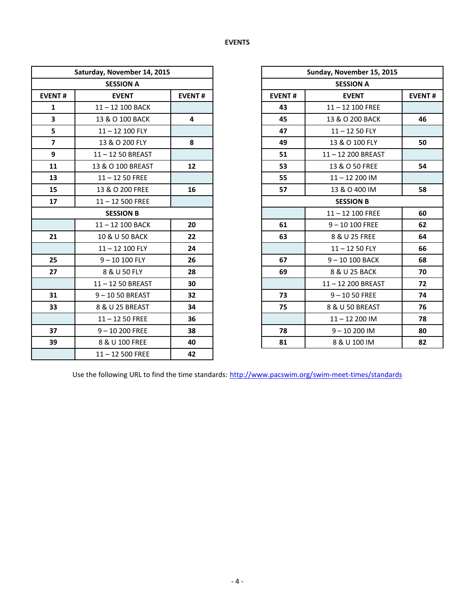| Saturday, November 14, 2015 |                    |               | Sunday, November 15, 2015 |                    |  |  |  |
|-----------------------------|--------------------|---------------|---------------------------|--------------------|--|--|--|
|                             | <b>SESSION A</b>   |               |                           | <b>SESSION A</b>   |  |  |  |
| <b>EVENT#</b>               | <b>EVENT</b>       | <b>EVENT#</b> | <b>EVENT#</b>             | <b>EVENT</b>       |  |  |  |
| $\mathbf{1}$                | 11-12 100 BACK     |               | 43                        | $11 - 12$ 100 FREE |  |  |  |
| $\overline{\mathbf{3}}$     | 13 & O 100 BACK    | 4             | 45                        | 13 & O 200 BACK    |  |  |  |
| 5                           | 11-12 100 FLY      |               | 47                        | $11 - 1250$ FLY    |  |  |  |
| $\overline{\mathbf{z}}$     | 13 & O 200 FLY     | 8             | 49                        | 13 & O 100 FLY     |  |  |  |
| 9                           | 11-12 50 BREAST    |               | 51                        | 11-12 200 BREAST   |  |  |  |
| 11                          | 13 & O 100 BREAST  | 12            | 53                        | 13 & O 50 FREE     |  |  |  |
| 13                          | $11 - 1250$ FREE   |               | 55                        | $11 - 12200$ IM    |  |  |  |
| 15                          | 13 & O 200 FREE    | 16            | 57                        | 13 & O 400 IM      |  |  |  |
| 17                          | $11 - 12500$ FREE  |               |                           | <b>SESSION B</b>   |  |  |  |
| <b>SESSION B</b>            |                    |               |                           | $11 - 12$ 100 FREE |  |  |  |
|                             | $11 - 12$ 100 BACK | 20            | 61                        | $9 - 10100$ FREE   |  |  |  |
| 21                          | 10 & U 50 BACK     | 22            | 63                        | 8 & U 25 FREE      |  |  |  |
|                             | 11-12 100 FLY      | 24            |                           | $11 - 1250$ FLY    |  |  |  |
| 25                          | $9 - 10100$ FLY    | 26            | 67                        | $9 - 10100$ BACK   |  |  |  |
| 27                          | 8 & U 50 FLY       | 28            | 69                        | 8 & U 25 BACK      |  |  |  |
|                             | 11-12 50 BREAST    | 30            |                           | 11-12 200 BREAST   |  |  |  |
| 31                          | $9 - 1050$ BREAST  | 32            | 73                        | $9 - 1050$ FREE    |  |  |  |
| 33                          | 8 & U 25 BREAST    | 34            | 75                        | 8 & U 50 BREAST    |  |  |  |
|                             | $11 - 1250$ FREE   | 36            |                           | $11 - 12200$ IM    |  |  |  |
| 37                          | $9 - 10200$ FREE   | 38            | 78                        | $9 - 10200$ IM     |  |  |  |
| 39                          | 8 & U 100 FREE     | 40            | 81                        | 8 & U 100 IM       |  |  |  |
|                             | $11 - 12500$ FREE  | 42            |                           |                    |  |  |  |

| Saturday, November 14, 2015 |                   |                         |               | Sunday, November 15, 2015 |               |  |  |  |
|-----------------------------|-------------------|-------------------------|---------------|---------------------------|---------------|--|--|--|
| <b>SESSION A</b>            |                   |                         |               | <b>SESSION A</b>          |               |  |  |  |
| <b>EVENT#</b>               | <b>EVENT</b>      | <b>EVENT#</b>           | <b>EVENT#</b> | <b>EVENT</b>              | <b>EVENT#</b> |  |  |  |
| $\mathbf{1}$                | 11-12 100 BACK    |                         | 43            | $11 - 12$ 100 FREE        |               |  |  |  |
| 3                           | 13 & O 100 BACK   | $\overline{\mathbf{4}}$ | 45            | 13 & O 200 BACK           | 46            |  |  |  |
| 5                           | $11 - 12$ 100 FLY |                         | 47            | $11 - 1250$ FLY           |               |  |  |  |
| $\overline{7}$              | 13 & O 200 FLY    | 8                       | 49            | 13 & O 100 FLY            | 50            |  |  |  |
| 9                           | 11-12 50 BREAST   |                         | 51            | 11-12 200 BREAST          |               |  |  |  |
| 11                          | 13 & O 100 BREAST | 12                      | 53            | 13 & O 50 FREE            | 54            |  |  |  |
| 13                          | $11 - 1250$ FREE  |                         | 55            | $11 - 12200$ IM           |               |  |  |  |
| 15                          | 13 & O 200 FREE   | 16                      | 57            | 13 & O 400 IM             | 58            |  |  |  |
| 17                          | $11 - 12500$ FREE |                         |               | <b>SESSION B</b>          |               |  |  |  |
| <b>SESSION B</b>            |                   |                         |               | $11 - 12$ 100 FREE        | 60            |  |  |  |
|                             | 11-12 100 BACK    | 20                      | 61            | $9 - 10100$ FREE          | 62            |  |  |  |
| 21                          | 10 & U 50 BACK    | 22                      | 63            | 8 & U 25 FREE             | 64            |  |  |  |
|                             | $11 - 12$ 100 FLY | 24                      |               | $11 - 1250$ FLY           | 66            |  |  |  |
| 25                          | $9 - 10100$ FLY   | 26                      | 67            | 9-10 100 BACK             | 68            |  |  |  |
| 27                          | 8 & U 50 FLY      | 28                      | 69            | 8 & U 25 BACK             | 70            |  |  |  |
|                             | 11-12 50 BREAST   | 30                      |               | 11-12 200 BREAST          | 72            |  |  |  |
| 31                          | 9-1050 BREAST     | 32                      | 73            | $9 - 1050$ FREE           | 74            |  |  |  |
| 33                          | 8 & U 25 BREAST   | 34                      | 75            | 8 & U 50 BREAST           | 76            |  |  |  |
|                             | $11 - 1250$ FREE  | 36                      |               | $11 - 12200$ IM           | 78            |  |  |  |
| 37                          | $9 - 10200$ FREE  | 38                      | 78            | $9 - 10200$ IM            | 80            |  |  |  |
| 39                          | 8 & U 100 FREE    | 40                      | 81            | 8 & U 100 IM              | 82            |  |  |  |

Use the following URL to find the time standards: <http://www.pacswim.org/swim-meet-times/standards>